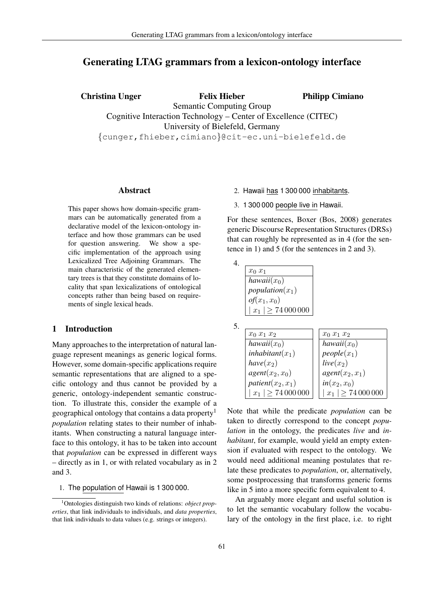# Generating LTAG grammars from a lexicon-ontology interface

Christina Unger Felix Hieber Semantic Computing Group Cognitive Interaction Technology – Center of Excellence (CITEC) University of Bielefeld, Germany {cunger,fhieber,cimiano}@cit-ec.uni-bielefeld.de Philipp Cimiano

### Abstract

This paper shows how domain-specific grammars can be automatically generated from a declarative model of the lexicon-ontology interface and how those grammars can be used for question answering. We show a specific implementation of the approach using Lexicalized Tree Adjoining Grammars. The main characteristic of the generated elementary trees is that they constitute domains of locality that span lexicalizations of ontological concepts rather than being based on requirements of single lexical heads.

### 1 Introduction

Many approaches to the interpretation of natural language represent meanings as generic logical forms. However, some domain-specific applications require semantic representations that are aligned to a specific ontology and thus cannot be provided by a generic, ontology-independent semantic construction. To illustrate this, consider the example of a geographical ontology that contains a data property<sup>1</sup> *population* relating states to their number of inhabitants. When constructing a natural language interface to this ontology, it has to be taken into account that *population* can be expressed in different ways – directly as in 1, or with related vocabulary as in 2 and 3.

1. The population of Hawaii is 1 300 000.

- 2. Hawaii has 1 300 000 inhabitants.
- 3. 1 300 000 people live in Hawaii.

For these sentences, Boxer (Bos, 2008) generates generic Discourse Representation Structures (DRSs) that can roughly be represented as in 4 (for the sentence in 1) and 5 (for the sentences in 2 and 3).

| $x_0$ $x_1$               |
|---------------------------|
| hawaii $(x_0)$            |
| population $(x_1)$        |
| $of(x_1, x_0)$            |
| $ x_1  \geq 74\,000\,000$ |

| ٠<br>×                 |   |
|------------------------|---|
| I<br>I<br>۰.<br>٠<br>v | ÷ |

| $x_0$ $x_1$ $x_2$         | $x_0$ $x_1$ $x_2$         |
|---------------------------|---------------------------|
| hawaii $(x_0)$            | hawaii $(x_0)$            |
| inhabitant $(x_1)$        | $people(x_1)$             |
| $have(x_2)$               | $live(x_2)$               |
| $agent(x_2, x_0)$         | $agent(x_2, x_1)$         |
| patient $(x_2, x_1)$      | $in(x_2, x_0)$            |
| $ x_1  \geq 74\,000\,000$ | $ x_1  \geq 74\,000\,000$ |

Note that while the predicate *population* can be taken to directly correspond to the concept *population* in the ontology, the predicates *live* and *inhabitant*, for example, would yield an empty extension if evaluated with respect to the ontology. We would need additional meaning postulates that relate these predicates to *population*, or, alternatively, some postprocessing that transforms generic forms like in 5 into a more specific form equivalent to 4.

An arguably more elegant and useful solution is to let the semantic vocabulary follow the vocabulary of the ontology in the first place, i.e. to right

<sup>1</sup>Ontologies distinguish two kinds of relations: *object properties*, that link individuals to individuals, and *data properties*, that link individuals to data values (e.g. strings or integers).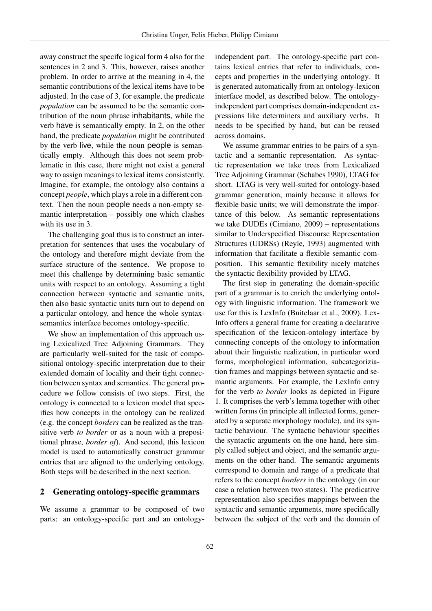away construct the specifc logical form 4 also for the sentences in 2 and 3. This, however, raises another problem. In order to arrive at the meaning in 4, the semantic contributions of the lexical items have to be adjusted. In the case of 3, for example, the predicate *population* can be assumed to be the semantic contribution of the noun phrase inhabitants, while the verb have is semantically empty. In 2, on the other hand, the predicate *population* might be contributed by the verb live, while the noun people is semantically empty. Although this does not seem problematic in this case, there might not exist a general way to assign meanings to lexical items consistently. Imagine, for example, the ontology also contains a concept *people*, which plays a role in a different context. Then the noun people needs a non-empty semantic interpretation – possibly one which clashes with its use in 3.

The challenging goal thus is to construct an interpretation for sentences that uses the vocabulary of the ontology and therefore might deviate from the surface structure of the sentence. We propose to meet this challenge by determining basic semantic units with respect to an ontology. Assuming a tight connection between syntactic and semantic units, then also basic syntactic units turn out to depend on a particular ontology, and hence the whole syntaxsemantics interface becomes ontology-specific.

We show an implementation of this approach using Lexicalized Tree Adjoining Grammars. They are particularly well-suited for the task of compositional ontology-specific interpretation due to their extended domain of locality and their tight connection between syntax and semantics. The general procedure we follow consists of two steps. First, the ontology is connected to a lexicon model that specifies how concepts in the ontology can be realized (e.g. the concept *borders* can be realized as the transitive verb *to border* or as a noun with a prepositional phrase, *border of*). And second, this lexicon model is used to automatically construct grammar entries that are aligned to the underlying ontology. Both steps will be described in the next section.

### 2 Generating ontology-specific grammars

We assume a grammar to be composed of two parts: an ontology-specific part and an ontology-

independent part. The ontology-specific part contains lexical entries that refer to individuals, concepts and properties in the underlying ontology. It is generated automatically from an ontology-lexicon interface model, as described below. The ontologyindependent part comprises domain-independent expressions like determiners and auxiliary verbs. It needs to be specified by hand, but can be reused across domains.

We assume grammar entries to be pairs of a syntactic and a semantic representation. As syntactic representation we take trees from Lexicalized Tree Adjoining Grammar (Schabes 1990), LTAG for short. LTAG is very well-suited for ontology-based grammar generation, mainly because it allows for flexible basic units; we will demonstrate the importance of this below. As semantic representations we take DUDEs (Cimiano, 2009) – representations similar to Underspecified Discourse Representation Structures (UDRSs) (Reyle, 1993) augmented with information that facilitate a flexible semantic composition. This semantic flexibility nicely matches the syntactic flexibility provided by LTAG.

The first step in generating the domain-specific part of a grammar is to enrich the underlying ontology with linguistic information. The framework we use for this is LexInfo (Buitelaar et al., 2009). Lex-Info offers a general frame for creating a declarative specification of the lexicon-ontology interface by connecting concepts of the ontology to information about their linguistic realization, in particular word forms, morphological information, subcategoriziation frames and mappings between syntactic and semantic arguments. For example, the LexInfo entry for the verb *to border* looks as depicted in Figure 1. It comprises the verb's lemma together with other written forms (in principle all inflected forms, generated by a separate morphology module), and its syntactic behaviour. The syntactic behaviour specifies the syntactic arguments on the one hand, here simply called subject and object, and the semantic arguments on the other hand. The semantic arguments correspond to domain and range of a predicate that refers to the concept *borders* in the ontology (in our case a relation between two states). The predicative representation also specifies mappings between the syntactic and semantic arguments, more specifically between the subject of the verb and the domain of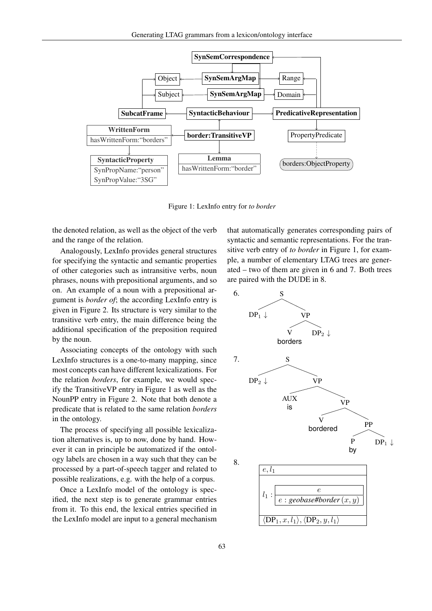

Figure 1: LexInfo entry for *to border*

the denoted relation, as well as the object of the verb and the range of the relation.

Analogously, LexInfo provides general structures for specifying the syntactic and semantic properties of other categories such as intransitive verbs, noun phrases, nouns with prepositional arguments, and so on. An example of a noun with a prepositional argument is *border of*; the according LexInfo entry is given in Figure 2. Its structure is very similar to the transitive verb entry, the main difference being the additional specification of the preposition required by the noun.

Associating concepts of the ontology with such LexInfo structures is a one-to-many mapping, since most concepts can have different lexicalizations. For the relation *borders*, for example, we would specify the TransitiveVP entry in Figure 1 as well as the NounPP entry in Figure 2. Note that both denote a predicate that is related to the same relation *borders* in the ontology.

The process of specifying all possible lexicalization alternatives is, up to now, done by hand. However it can in principle be automatized if the ontology labels are chosen in a way such that they can be processed by a part-of-speech tagger and related to possible realizations, e.g. with the help of a corpus.

Once a LexInfo model of the ontology is specified, the next step is to generate grammar entries from it. To this end, the lexical entries specified in the LexInfo model are input to a general mechanism

that automatically generates corresponding pairs of syntactic and semantic representations. For the transitive verb entry of *to border* in Figure 1, for example, a number of elementary LTAG trees are generated – two of them are given in 6 and 7. Both trees are paired with the DUDE in 8.

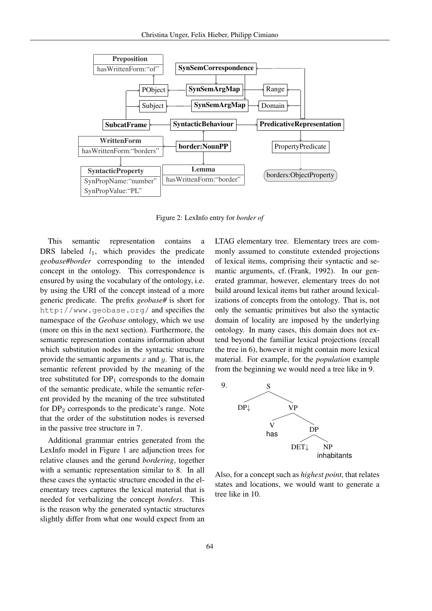

Figure 2: LexInfo entry for *border of*

This semantic representation contains a DRS labeled  $l_1$ , which provides the predicate *geobase#border* corresponding to the intended concept in the ontology. This correspondence is ensured by using the vocabulary of the ontology, i.e. by using the URI of the concept instead of a more generic predicate. The prefix *geobase#* is short for http://www.geobase.org/ and specifies the namespace of the *Geobase* ontology, which we use (more on this in the next section). Furthermore, the semantic representation contains information about which substitution nodes in the syntactic structure provide the semantic arguments x and y. That is, the semantic referent provided by the meaning of the tree substituted for  $DP_1$  corresponds to the domain of the semantic predicate, while the semantic referent provided by the meaning of the tree substituted for  $DP<sub>2</sub>$  corresponds to the predicate's range. Note that the order of the substitution nodes is reversed in the passive tree structure in 7.

Additional grammar entries generated from the LexInfo model in Figure 1 are adjunction trees for relative clauses and the gerund *bordering*, together with a semantic representation similar to 8. In all these cases the syntactic structure encoded in the elementary trees captures the lexical material that is needed for verbalizing the concept *borders*. This is the reason why the generated syntactic structures slightly differ from what one would expect from an

LTAG elementary tree. Elementary trees are commonly assumed to constitute extended projections of lexical items, comprising their syntactic and semantic arguments, cf. (Frank, 1992). In our generated grammar, however, elementary trees do not build around lexical items but rather around lexicalizations of concepts from the ontology. That is, not only the semantic primitives but also the syntactic domain of locality are imposed by the underlying ontology. In many cases, this domain does not extend beyond the familiar lexical projections (recall the tree in 6), however it might contain more lexical material. For example, for the *population* example from the beginning we would need a tree like in 9.



Also, for a concept such as *highest point*, that relates states and locations, we would want to generate a tree like in 10.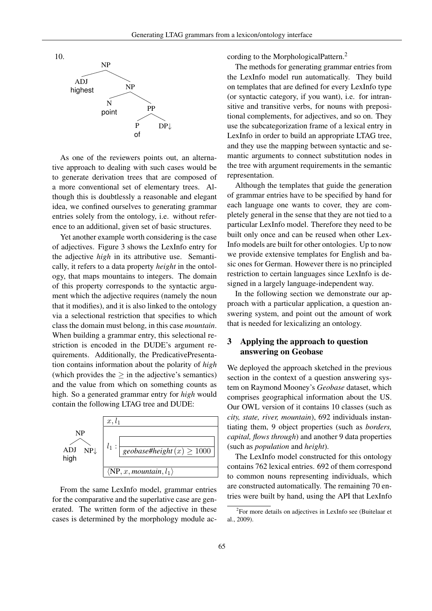

As one of the reviewers points out, an alternative approach to dealing with such cases would be to generate derivation trees that are composed of a more conventional set of elementary trees. Although this is doubtlessly a reasonable and elegant idea, we confined ourselves to generating grammar entries solely from the ontology, i.e. without reference to an additional, given set of basic structures.

Yet another example worth considering is the case of adjectives. Figure 3 shows the LexInfo entry for the adjective *high* in its attributive use. Semantically, it refers to a data property *height* in the ontology, that maps mountains to integers. The domain of this property corresponds to the syntactic argument which the adjective requires (namely the noun that it modifies), and it is also linked to the ontology via a selectional restriction that specifies to which class the domain must belong, in this case *mountain*. When building a grammar entry, this selectional restriction is encoded in the DUDE's argument requirements. Additionally, the PredicativePresentation contains information about the polarity of *high* (which provides the  $>$  in the adjective's semantics) and the value from which on something counts as high. So a generated grammar entry for *high* would contain the following LTAG tree and DUDE:



From the same LexInfo model, grammar entries for the comparative and the superlative case are generated. The written form of the adjective in these cases is determined by the morphology module according to the MorphologicalPattern.<sup>2</sup>

The methods for generating grammar entries from the LexInfo model run automatically. They build on templates that are defined for every LexInfo type (or syntactic category, if you want), i.e. for intransitive and transitive verbs, for nouns with prepositional complements, for adjectives, and so on. They use the subcategorization frame of a lexical entry in LexInfo in order to build an appropriate LTAG tree, and they use the mapping between syntactic and semantic arguments to connect substitution nodes in the tree with argument requirements in the semantic representation.

Although the templates that guide the generation of grammar entries have to be specified by hand for each language one wants to cover, they are completely general in the sense that they are not tied to a particular LexInfo model. Therefore they need to be built only once and can be reused when other Lex-Info models are built for other ontologies. Up to now we provide extensive templates for English and basic ones for German. However there is no principled restriction to certain languages since LexInfo is designed in a largely language-independent way.

In the following section we demonstrate our approach with a particular application, a question answering system, and point out the amount of work that is needed for lexicalizing an ontology.

## 3 Applying the approach to question answering on Geobase

We deployed the approach sketched in the previous section in the context of a question answering system on Raymond Mooney's *Geobase* dataset, which comprises geographical information about the US. Our OWL version of it contains 10 classes (such as *city, state, river, mountain*), 692 individuals instantiating them, 9 object properties (such as *borders, capital, flows through*) and another 9 data properties (such as *population* and *height*).

The LexInfo model constructed for this ontology contains 762 lexical entries. 692 of them correspond to common nouns representing individuals, which are constructed automatically. The remaining 70 entries were built by hand, using the API that LexInfo

<sup>&</sup>lt;sup>2</sup>For more details on adjectives in LexInfo see (Buitelaar et al., 2009).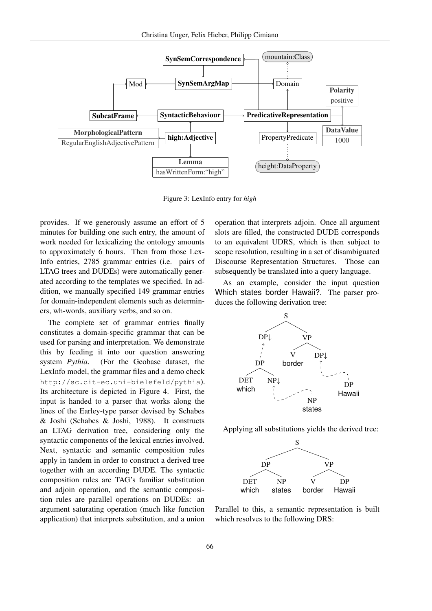

Figure 3: LexInfo entry for *high*

provides. If we generously assume an effort of 5 minutes for building one such entry, the amount of work needed for lexicalizing the ontology amounts to approximately 6 hours. Then from those Lex-Info entries, 2785 grammar entries (i.e. pairs of LTAG trees and DUDEs) were automatically generated according to the templates we specified. In addition, we manually specified 149 grammar entries for domain-independent elements such as determiners, wh-words, auxiliary verbs, and so on.

The complete set of grammar entries finally constitutes a domain-specific grammar that can be used for parsing and interpretation. We demonstrate this by feeding it into our question answering system *Pythia*. (For the Geobase dataset, the LexInfo model, the grammar files and a demo check http://sc.cit-ec.uni-bielefeld/pythia). Its architecture is depicted in Figure 4. First, the input is handed to a parser that works along the lines of the Earley-type parser devised by Schabes & Joshi (Schabes & Joshi, 1988). It constructs an LTAG derivation tree, considering only the syntactic components of the lexical entries involved. Next, syntactic and semantic composition rules apply in tandem in order to construct a derived tree together with an according DUDE. The syntactic composition rules are TAG's familiar substitution and adjoin operation, and the semantic composition rules are parallel operations on DUDEs: an argument saturating operation (much like function application) that interprets substitution, and a union

operation that interprets adjoin. Once all argument slots are filled, the constructed DUDE corresponds to an equivalent UDRS, which is then subject to scope resolution, resulting in a set of disambiguated Discourse Representation Structures. Those can subsequently be translated into a query language.

As an example, consider the input question Which states border Hawaii?. The parser produces the following derivation tree:



Applying all substitutions yields the derived tree:



Parallel to this, a semantic representation is built which resolves to the following DRS: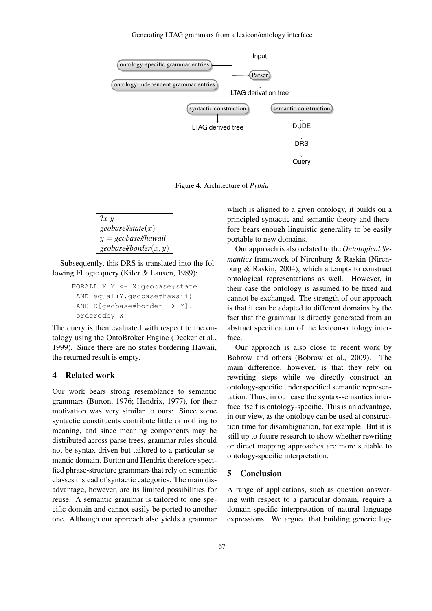

Figure 4: Architecture of *Pythia*

$$
\begin{array}{l}\n 2x \ y \\
 \hline\n geobase#state(x) \\
 y = geobase#hawaii \\
 geobase#border(x, y)\n\end{array}
$$

Subsequently, this DRS is translated into the following FLogic query (Kifer & Lausen, 1989):

```
FORALL X Y <- X:geobase#state
AND equal(Y,geobase#hawaii)
AND X[geobase#border -> Y].
 orderedby X
```
The query is then evaluated with respect to the ontology using the OntoBroker Engine (Decker et al., 1999). Since there are no states bordering Hawaii, the returned result is empty.

### 4 Related work

Our work bears strong resemblance to semantic grammars (Burton, 1976; Hendrix, 1977), for their motivation was very similar to ours: Since some syntactic constituents contribute little or nothing to meaning, and since meaning components may be distributed across parse trees, grammar rules should not be syntax-driven but tailored to a particular semantic domain. Burton and Hendrix therefore specified phrase-structure grammars that rely on semantic classes instead of syntactic categories. The main disadvantage, however, are its limited possibilities for reuse. A semantic grammar is tailored to one specific domain and cannot easily be ported to another one. Although our approach also yields a grammar

which is aligned to a given ontology, it builds on a principled syntactic and semantic theory and therefore bears enough linguistic generality to be easily portable to new domains.

Our approach is also related to the *Ontological Semantics* framework of Nirenburg & Raskin (Nirenburg & Raskin, 2004), which attempts to construct ontological representations as well. However, in their case the ontology is assumed to be fixed and cannot be exchanged. The strength of our approach is that it can be adapted to different domains by the fact that the grammar is directly generated from an abstract specification of the lexicon-ontology interface.

Our approach is also close to recent work by Bobrow and others (Bobrow et al., 2009). The main difference, however, is that they rely on rewriting steps while we directly construct an ontology-specific underspecified semantic representation. Thus, in our case the syntax-semantics interface itself is ontology-specific. This is an advantage, in our view, as the ontology can be used at construction time for disambiguation, for example. But it is still up to future research to show whether rewriting or direct mapping approaches are more suitable to ontology-specific interpretation.

### 5 Conclusion

A range of applications, such as question answering with respect to a particular domain, require a domain-specific interpretation of natural language expressions. We argued that building generic log